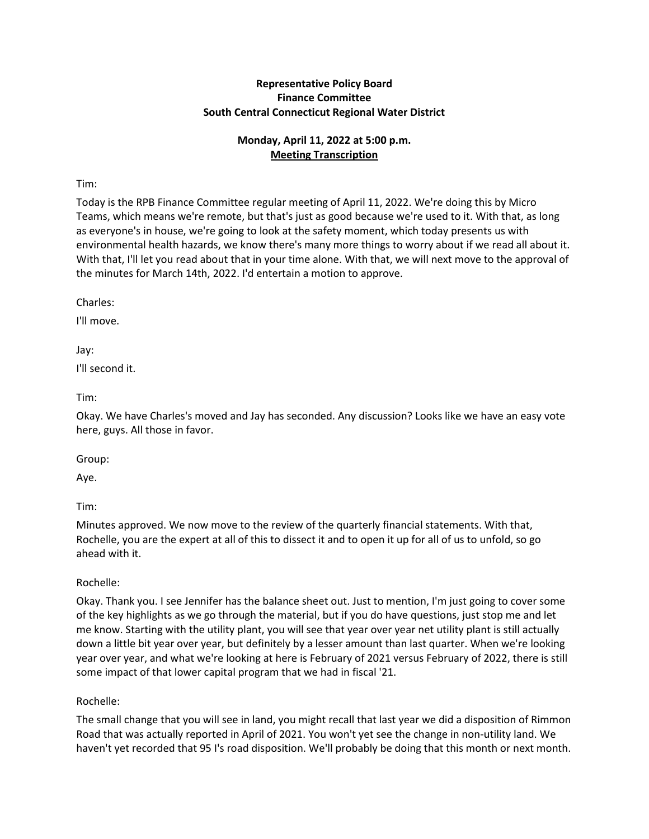# **Representative Policy Board Finance Committee South Central Connecticut Regional Water District**

# **Monday, April 11, 2022 at 5:00 p.m. Meeting Transcription**

Tim:

Today is the RPB Finance Committee regular meeting of April 11, 2022. We're doing this by Micro Teams, which means we're remote, but that's just as good because we're used to it. With that, as long as everyone's in house, we're going to look at the safety moment, which today presents us with environmental health hazards, we know there's many more things to worry about if we read all about it. With that, I'll let you read about that in your time alone. With that, we will next move to the approval of the minutes for March 14th, 2022. I'd entertain a motion to approve.

Charles:

I'll move.

Jay: I'll second it.

Tim:

Okay. We have Charles's moved and Jay has seconded. Any discussion? Looks like we have an easy vote here, guys. All those in favor.

Group:

Aye.

Tim:

Minutes approved. We now move to the review of the quarterly financial statements. With that, Rochelle, you are the expert at all of this to dissect it and to open it up for all of us to unfold, so go ahead with it.

Rochelle:

Okay. Thank you. I see Jennifer has the balance sheet out. Just to mention, I'm just going to cover some of the key highlights as we go through the material, but if you do have questions, just stop me and let me know. Starting with the utility plant, you will see that year over year net utility plant is still actually down a little bit year over year, but definitely by a lesser amount than last quarter. When we're looking year over year, and what we're looking at here is February of 2021 versus February of 2022, there is still some impact of that lower capital program that we had in fiscal '21.

Rochelle:

The small change that you will see in land, you might recall that last year we did a disposition of Rimmon Road that was actually reported in April of 2021. You won't yet see the change in non-utility land. We haven't yet recorded that 95 I's road disposition. We'll probably be doing that this month or next month.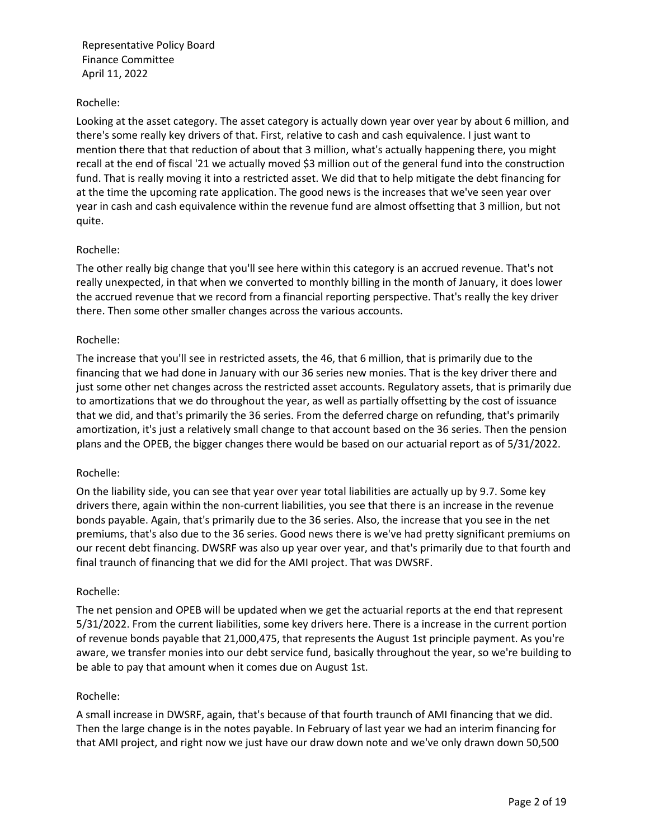## Rochelle:

Looking at the asset category. The asset category is actually down year over year by about 6 million, and there's some really key drivers of that. First, relative to cash and cash equivalence. I just want to mention there that that reduction of about that 3 million, what's actually happening there, you might recall at the end of fiscal '21 we actually moved \$3 million out of the general fund into the construction fund. That is really moving it into a restricted asset. We did that to help mitigate the debt financing for at the time the upcoming rate application. The good news is the increases that we've seen year over year in cash and cash equivalence within the revenue fund are almost offsetting that 3 million, but not quite.

### Rochelle:

The other really big change that you'll see here within this category is an accrued revenue. That's not really unexpected, in that when we converted to monthly billing in the month of January, it does lower the accrued revenue that we record from a financial reporting perspective. That's really the key driver there. Then some other smaller changes across the various accounts.

### Rochelle:

The increase that you'll see in restricted assets, the 46, that 6 million, that is primarily due to the financing that we had done in January with our 36 series new monies. That is the key driver there and just some other net changes across the restricted asset accounts. Regulatory assets, that is primarily due to amortizations that we do throughout the year, as well as partially offsetting by the cost of issuance that we did, and that's primarily the 36 series. From the deferred charge on refunding, that's primarily amortization, it's just a relatively small change to that account based on the 36 series. Then the pension plans and the OPEB, the bigger changes there would be based on our actuarial report as of 5/31/2022.

#### Rochelle:

On the liability side, you can see that year over year total liabilities are actually up by 9.7. Some key drivers there, again within the non-current liabilities, you see that there is an increase in the revenue bonds payable. Again, that's primarily due to the 36 series. Also, the increase that you see in the net premiums, that's also due to the 36 series. Good news there is we've had pretty significant premiums on our recent debt financing. DWSRF was also up year over year, and that's primarily due to that fourth and final traunch of financing that we did for the AMI project. That was DWSRF.

#### Rochelle:

The net pension and OPEB will be updated when we get the actuarial reports at the end that represent 5/31/2022. From the current liabilities, some key drivers here. There is a increase in the current portion of revenue bonds payable that 21,000,475, that represents the August 1st principle payment. As you're aware, we transfer monies into our debt service fund, basically throughout the year, so we're building to be able to pay that amount when it comes due on August 1st.

#### Rochelle:

A small increase in DWSRF, again, that's because of that fourth traunch of AMI financing that we did. Then the large change is in the notes payable. In February of last year we had an interim financing for that AMI project, and right now we just have our draw down note and we've only drawn down 50,500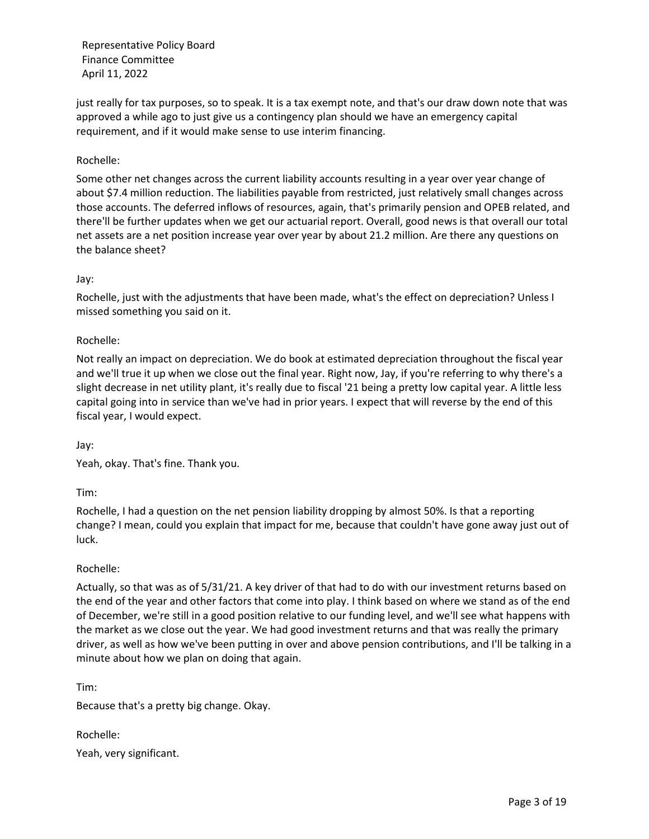just really for tax purposes, so to speak. It is a tax exempt note, and that's our draw down note that was approved a while ago to just give us a contingency plan should we have an emergency capital requirement, and if it would make sense to use interim financing.

# Rochelle:

Some other net changes across the current liability accounts resulting in a year over year change of about \$7.4 million reduction. The liabilities payable from restricted, just relatively small changes across those accounts. The deferred inflows of resources, again, that's primarily pension and OPEB related, and there'll be further updates when we get our actuarial report. Overall, good news is that overall our total net assets are a net position increase year over year by about 21.2 million. Are there any questions on the balance sheet?

### Jay:

Rochelle, just with the adjustments that have been made, what's the effect on depreciation? Unless I missed something you said on it.

### Rochelle:

Not really an impact on depreciation. We do book at estimated depreciation throughout the fiscal year and we'll true it up when we close out the final year. Right now, Jay, if you're referring to why there's a slight decrease in net utility plant, it's really due to fiscal '21 being a pretty low capital year. A little less capital going into in service than we've had in prior years. I expect that will reverse by the end of this fiscal year, I would expect.

Jay:

Yeah, okay. That's fine. Thank you.

Tim:

Rochelle, I had a question on the net pension liability dropping by almost 50%. Is that a reporting change? I mean, could you explain that impact for me, because that couldn't have gone away just out of luck.

#### Rochelle:

Actually, so that was as of 5/31/21. A key driver of that had to do with our investment returns based on the end of the year and other factors that come into play. I think based on where we stand as of the end of December, we're still in a good position relative to our funding level, and we'll see what happens with the market as we close out the year. We had good investment returns and that was really the primary driver, as well as how we've been putting in over and above pension contributions, and I'll be talking in a minute about how we plan on doing that again.

Tim:

Because that's a pretty big change. Okay.

Rochelle: Yeah, very significant.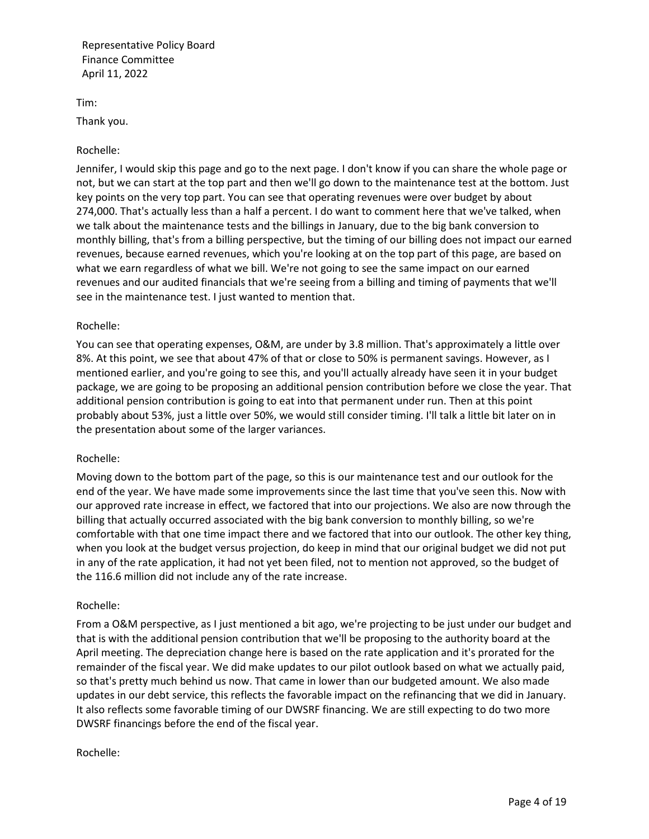Tim:

Thank you.

### Rochelle:

Jennifer, I would skip this page and go to the next page. I don't know if you can share the whole page or not, but we can start at the top part and then we'll go down to the maintenance test at the bottom. Just key points on the very top part. You can see that operating revenues were over budget by about 274,000. That's actually less than a half a percent. I do want to comment here that we've talked, when we talk about the maintenance tests and the billings in January, due to the big bank conversion to monthly billing, that's from a billing perspective, but the timing of our billing does not impact our earned revenues, because earned revenues, which you're looking at on the top part of this page, are based on what we earn regardless of what we bill. We're not going to see the same impact on our earned revenues and our audited financials that we're seeing from a billing and timing of payments that we'll see in the maintenance test. I just wanted to mention that.

### Rochelle:

You can see that operating expenses, O&M, are under by 3.8 million. That's approximately a little over 8%. At this point, we see that about 47% of that or close to 50% is permanent savings. However, as I mentioned earlier, and you're going to see this, and you'll actually already have seen it in your budget package, we are going to be proposing an additional pension contribution before we close the year. That additional pension contribution is going to eat into that permanent under run. Then at this point probably about 53%, just a little over 50%, we would still consider timing. I'll talk a little bit later on in the presentation about some of the larger variances.

#### Rochelle:

Moving down to the bottom part of the page, so this is our maintenance test and our outlook for the end of the year. We have made some improvements since the last time that you've seen this. Now with our approved rate increase in effect, we factored that into our projections. We also are now through the billing that actually occurred associated with the big bank conversion to monthly billing, so we're comfortable with that one time impact there and we factored that into our outlook. The other key thing, when you look at the budget versus projection, do keep in mind that our original budget we did not put in any of the rate application, it had not yet been filed, not to mention not approved, so the budget of the 116.6 million did not include any of the rate increase.

#### Rochelle:

From a O&M perspective, as I just mentioned a bit ago, we're projecting to be just under our budget and that is with the additional pension contribution that we'll be proposing to the authority board at the April meeting. The depreciation change here is based on the rate application and it's prorated for the remainder of the fiscal year. We did make updates to our pilot outlook based on what we actually paid, so that's pretty much behind us now. That came in lower than our budgeted amount. We also made updates in our debt service, this reflects the favorable impact on the refinancing that we did in January. It also reflects some favorable timing of our DWSRF financing. We are still expecting to do two more DWSRF financings before the end of the fiscal year.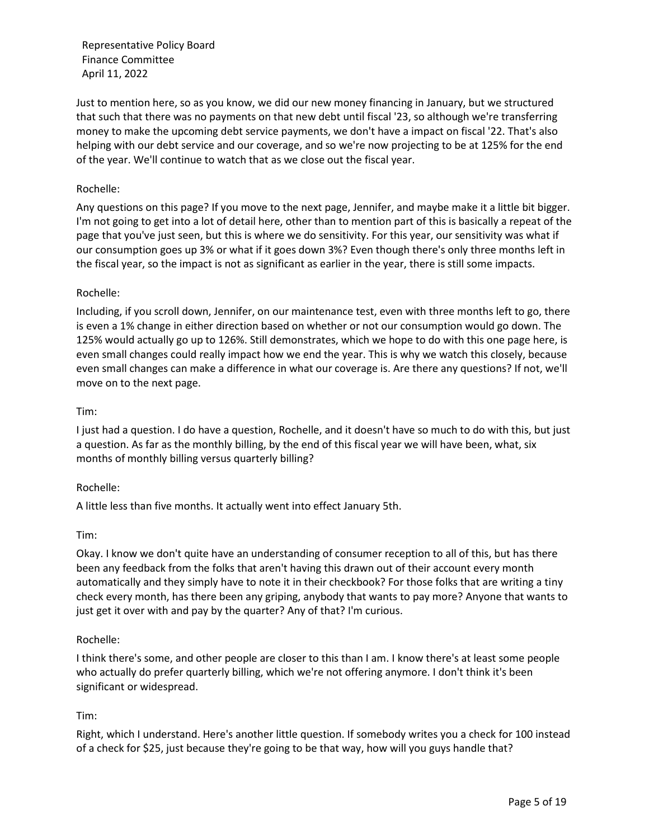Just to mention here, so as you know, we did our new money financing in January, but we structured that such that there was no payments on that new debt until fiscal '23, so although we're transferring money to make the upcoming debt service payments, we don't have a impact on fiscal '22. That's also helping with our debt service and our coverage, and so we're now projecting to be at 125% for the end of the year. We'll continue to watch that as we close out the fiscal year.

### Rochelle:

Any questions on this page? If you move to the next page, Jennifer, and maybe make it a little bit bigger. I'm not going to get into a lot of detail here, other than to mention part of this is basically a repeat of the page that you've just seen, but this is where we do sensitivity. For this year, our sensitivity was what if our consumption goes up 3% or what if it goes down 3%? Even though there's only three months left in the fiscal year, so the impact is not as significant as earlier in the year, there is still some impacts.

### Rochelle:

Including, if you scroll down, Jennifer, on our maintenance test, even with three months left to go, there is even a 1% change in either direction based on whether or not our consumption would go down. The 125% would actually go up to 126%. Still demonstrates, which we hope to do with this one page here, is even small changes could really impact how we end the year. This is why we watch this closely, because even small changes can make a difference in what our coverage is. Are there any questions? If not, we'll move on to the next page.

#### Tim:

I just had a question. I do have a question, Rochelle, and it doesn't have so much to do with this, but just a question. As far as the monthly billing, by the end of this fiscal year we will have been, what, six months of monthly billing versus quarterly billing?

#### Rochelle:

A little less than five months. It actually went into effect January 5th.

Tim:

Okay. I know we don't quite have an understanding of consumer reception to all of this, but has there been any feedback from the folks that aren't having this drawn out of their account every month automatically and they simply have to note it in their checkbook? For those folks that are writing a tiny check every month, has there been any griping, anybody that wants to pay more? Anyone that wants to just get it over with and pay by the quarter? Any of that? I'm curious.

#### Rochelle:

I think there's some, and other people are closer to this than I am. I know there's at least some people who actually do prefer quarterly billing, which we're not offering anymore. I don't think it's been significant or widespread.

## Tim:

Right, which I understand. Here's another little question. If somebody writes you a check for 100 instead of a check for \$25, just because they're going to be that way, how will you guys handle that?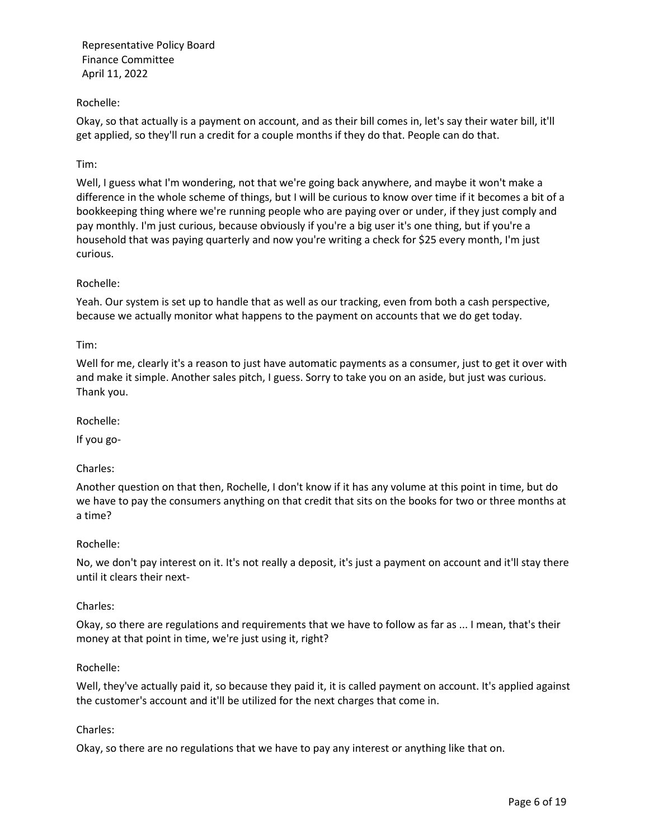# Rochelle:

Okay, so that actually is a payment on account, and as their bill comes in, let's say their water bill, it'll get applied, so they'll run a credit for a couple months if they do that. People can do that.

# Tim:

Well, I guess what I'm wondering, not that we're going back anywhere, and maybe it won't make a difference in the whole scheme of things, but I will be curious to know over time if it becomes a bit of a bookkeeping thing where we're running people who are paying over or under, if they just comply and pay monthly. I'm just curious, because obviously if you're a big user it's one thing, but if you're a household that was paying quarterly and now you're writing a check for \$25 every month, I'm just curious.

# Rochelle:

Yeah. Our system is set up to handle that as well as our tracking, even from both a cash perspective, because we actually monitor what happens to the payment on accounts that we do get today.

## Tim:

Well for me, clearly it's a reason to just have automatic payments as a consumer, just to get it over with and make it simple. Another sales pitch, I guess. Sorry to take you on an aside, but just was curious. Thank you.

Rochelle:

If you go-

## Charles:

Another question on that then, Rochelle, I don't know if it has any volume at this point in time, but do we have to pay the consumers anything on that credit that sits on the books for two or three months at a time?

## Rochelle:

No, we don't pay interest on it. It's not really a deposit, it's just a payment on account and it'll stay there until it clears their next-

## Charles:

Okay, so there are regulations and requirements that we have to follow as far as ... I mean, that's their money at that point in time, we're just using it, right?

## Rochelle:

Well, they've actually paid it, so because they paid it, it is called payment on account. It's applied against the customer's account and it'll be utilized for the next charges that come in.

## Charles:

Okay, so there are no regulations that we have to pay any interest or anything like that on.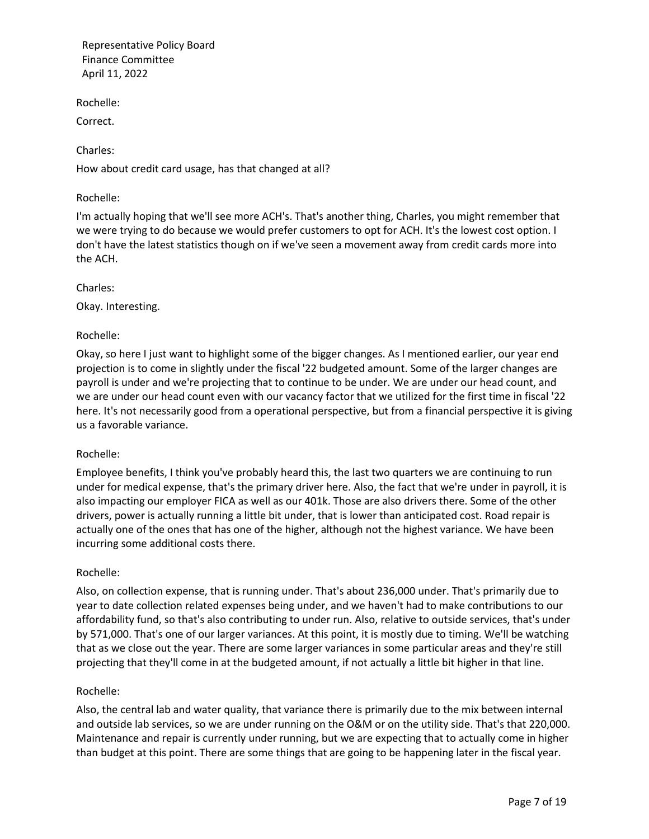Rochelle:

Correct.

Charles:

How about credit card usage, has that changed at all?

# Rochelle:

I'm actually hoping that we'll see more ACH's. That's another thing, Charles, you might remember that we were trying to do because we would prefer customers to opt for ACH. It's the lowest cost option. I don't have the latest statistics though on if we've seen a movement away from credit cards more into the ACH.

Charles:

Okay. Interesting.

# Rochelle:

Okay, so here I just want to highlight some of the bigger changes. As I mentioned earlier, our year end projection is to come in slightly under the fiscal '22 budgeted amount. Some of the larger changes are payroll is under and we're projecting that to continue to be under. We are under our head count, and we are under our head count even with our vacancy factor that we utilized for the first time in fiscal '22 here. It's not necessarily good from a operational perspective, but from a financial perspective it is giving us a favorable variance.

## Rochelle:

Employee benefits, I think you've probably heard this, the last two quarters we are continuing to run under for medical expense, that's the primary driver here. Also, the fact that we're under in payroll, it is also impacting our employer FICA as well as our 401k. Those are also drivers there. Some of the other drivers, power is actually running a little bit under, that is lower than anticipated cost. Road repair is actually one of the ones that has one of the higher, although not the highest variance. We have been incurring some additional costs there.

## Rochelle:

Also, on collection expense, that is running under. That's about 236,000 under. That's primarily due to year to date collection related expenses being under, and we haven't had to make contributions to our affordability fund, so that's also contributing to under run. Also, relative to outside services, that's under by 571,000. That's one of our larger variances. At this point, it is mostly due to timing. We'll be watching that as we close out the year. There are some larger variances in some particular areas and they're still projecting that they'll come in at the budgeted amount, if not actually a little bit higher in that line.

## Rochelle:

Also, the central lab and water quality, that variance there is primarily due to the mix between internal and outside lab services, so we are under running on the O&M or on the utility side. That's that 220,000. Maintenance and repair is currently under running, but we are expecting that to actually come in higher than budget at this point. There are some things that are going to be happening later in the fiscal year.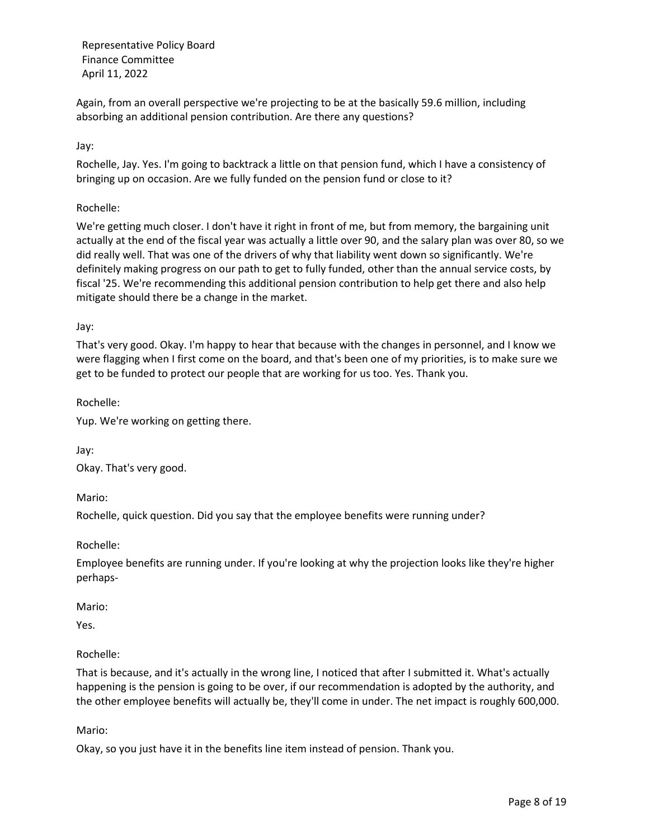Again, from an overall perspective we're projecting to be at the basically 59.6 million, including absorbing an additional pension contribution. Are there any questions?

Jay:

Rochelle, Jay. Yes. I'm going to backtrack a little on that pension fund, which I have a consistency of bringing up on occasion. Are we fully funded on the pension fund or close to it?

Rochelle:

We're getting much closer. I don't have it right in front of me, but from memory, the bargaining unit actually at the end of the fiscal year was actually a little over 90, and the salary plan was over 80, so we did really well. That was one of the drivers of why that liability went down so significantly. We're definitely making progress on our path to get to fully funded, other than the annual service costs, by fiscal '25. We're recommending this additional pension contribution to help get there and also help mitigate should there be a change in the market.

Jay:

That's very good. Okay. I'm happy to hear that because with the changes in personnel, and I know we were flagging when I first come on the board, and that's been one of my priorities, is to make sure we get to be funded to protect our people that are working for us too. Yes. Thank you.

Rochelle:

Yup. We're working on getting there.

Jay:

Okay. That's very good.

Mario:

Rochelle, quick question. Did you say that the employee benefits were running under?

Rochelle:

Employee benefits are running under. If you're looking at why the projection looks like they're higher perhaps-

Mario:

Yes.

## Rochelle:

That is because, and it's actually in the wrong line, I noticed that after I submitted it. What's actually happening is the pension is going to be over, if our recommendation is adopted by the authority, and the other employee benefits will actually be, they'll come in under. The net impact is roughly 600,000.

Mario:

Okay, so you just have it in the benefits line item instead of pension. Thank you.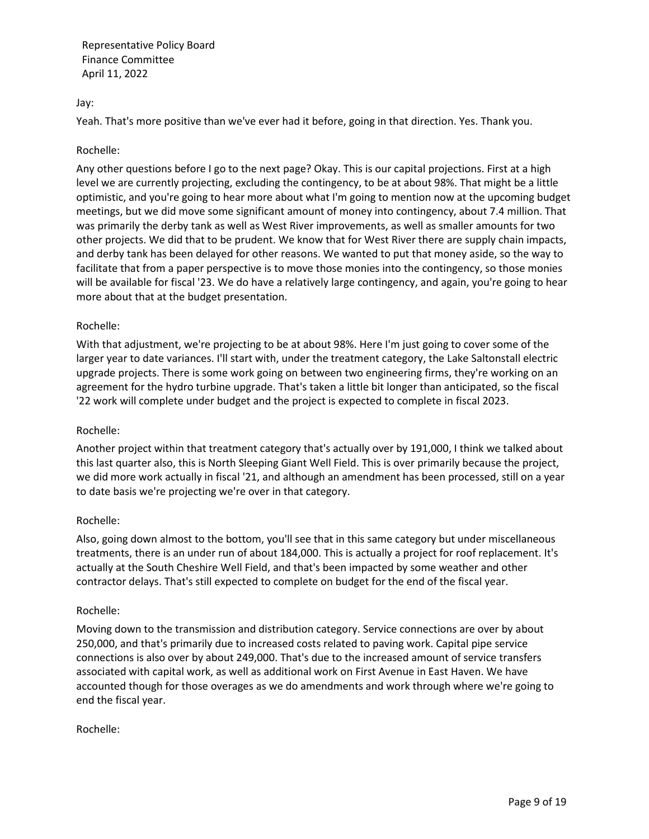### Jay:

Yeah. That's more positive than we've ever had it before, going in that direction. Yes. Thank you.

#### Rochelle:

Any other questions before I go to the next page? Okay. This is our capital projections. First at a high level we are currently projecting, excluding the contingency, to be at about 98%. That might be a little optimistic, and you're going to hear more about what I'm going to mention now at the upcoming budget meetings, but we did move some significant amount of money into contingency, about 7.4 million. That was primarily the derby tank as well as West River improvements, as well as smaller amounts for two other projects. We did that to be prudent. We know that for West River there are supply chain impacts, and derby tank has been delayed for other reasons. We wanted to put that money aside, so the way to facilitate that from a paper perspective is to move those monies into the contingency, so those monies will be available for fiscal '23. We do have a relatively large contingency, and again, you're going to hear more about that at the budget presentation.

### Rochelle:

With that adjustment, we're projecting to be at about 98%. Here I'm just going to cover some of the larger year to date variances. I'll start with, under the treatment category, the Lake Saltonstall electric upgrade projects. There is some work going on between two engineering firms, they're working on an agreement for the hydro turbine upgrade. That's taken a little bit longer than anticipated, so the fiscal '22 work will complete under budget and the project is expected to complete in fiscal 2023.

#### Rochelle:

Another project within that treatment category that's actually over by 191,000, I think we talked about this last quarter also, this is North Sleeping Giant Well Field. This is over primarily because the project, we did more work actually in fiscal '21, and although an amendment has been processed, still on a year to date basis we're projecting we're over in that category.

#### Rochelle:

Also, going down almost to the bottom, you'll see that in this same category but under miscellaneous treatments, there is an under run of about 184,000. This is actually a project for roof replacement. It's actually at the South Cheshire Well Field, and that's been impacted by some weather and other contractor delays. That's still expected to complete on budget for the end of the fiscal year.

#### Rochelle:

Moving down to the transmission and distribution category. Service connections are over by about 250,000, and that's primarily due to increased costs related to paving work. Capital pipe service connections is also over by about 249,000. That's due to the increased amount of service transfers associated with capital work, as well as additional work on First Avenue in East Haven. We have accounted though for those overages as we do amendments and work through where we're going to end the fiscal year.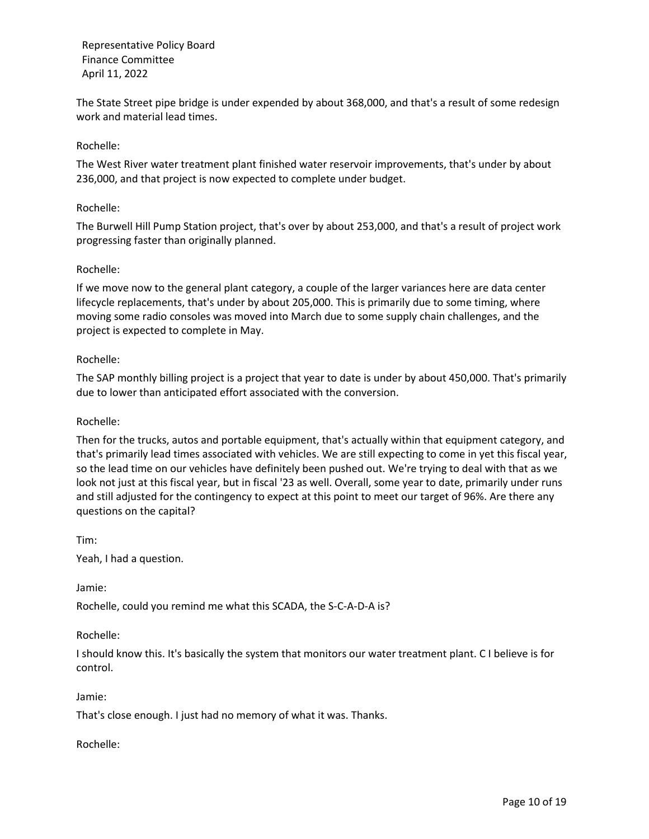The State Street pipe bridge is under expended by about 368,000, and that's a result of some redesign work and material lead times.

## Rochelle:

The West River water treatment plant finished water reservoir improvements, that's under by about 236,000, and that project is now expected to complete under budget.

### Rochelle:

The Burwell Hill Pump Station project, that's over by about 253,000, and that's a result of project work progressing faster than originally planned.

### Rochelle:

If we move now to the general plant category, a couple of the larger variances here are data center lifecycle replacements, that's under by about 205,000. This is primarily due to some timing, where moving some radio consoles was moved into March due to some supply chain challenges, and the project is expected to complete in May.

### Rochelle:

The SAP monthly billing project is a project that year to date is under by about 450,000. That's primarily due to lower than anticipated effort associated with the conversion.

### Rochelle:

Then for the trucks, autos and portable equipment, that's actually within that equipment category, and that's primarily lead times associated with vehicles. We are still expecting to come in yet this fiscal year, so the lead time on our vehicles have definitely been pushed out. We're trying to deal with that as we look not just at this fiscal year, but in fiscal '23 as well. Overall, some year to date, primarily under runs and still adjusted for the contingency to expect at this point to meet our target of 96%. Are there any questions on the capital?

Tim: Yeah, I had a question.

Jamie:

Rochelle, could you remind me what this SCADA, the S-C-A-D-A is?

Rochelle:

I should know this. It's basically the system that monitors our water treatment plant. C I believe is for control.

Jamie:

That's close enough. I just had no memory of what it was. Thanks.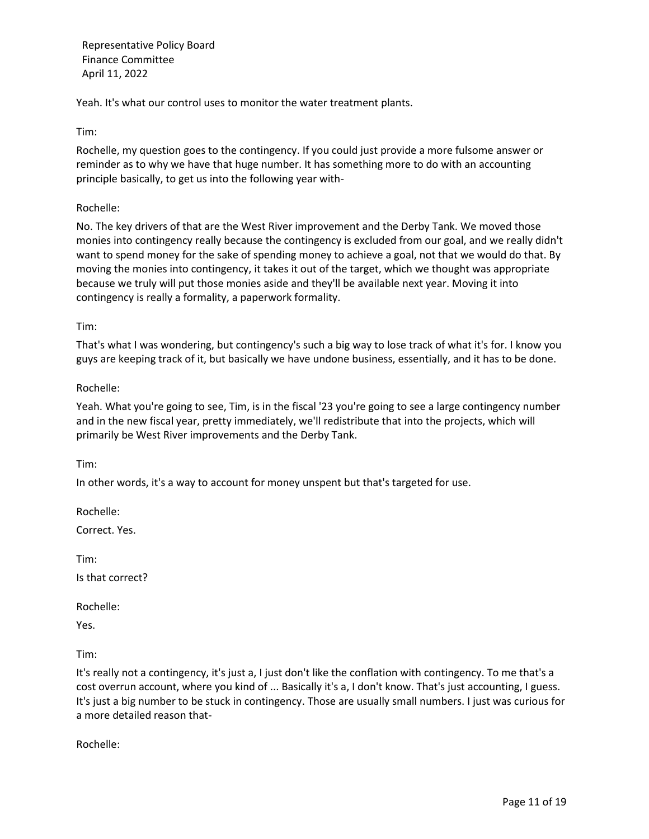Yeah. It's what our control uses to monitor the water treatment plants.

Tim:

Rochelle, my question goes to the contingency. If you could just provide a more fulsome answer or reminder as to why we have that huge number. It has something more to do with an accounting principle basically, to get us into the following year with-

## Rochelle:

No. The key drivers of that are the West River improvement and the Derby Tank. We moved those monies into contingency really because the contingency is excluded from our goal, and we really didn't want to spend money for the sake of spending money to achieve a goal, not that we would do that. By moving the monies into contingency, it takes it out of the target, which we thought was appropriate because we truly will put those monies aside and they'll be available next year. Moving it into contingency is really a formality, a paperwork formality.

Tim:

That's what I was wondering, but contingency's such a big way to lose track of what it's for. I know you guys are keeping track of it, but basically we have undone business, essentially, and it has to be done.

### Rochelle:

Yeah. What you're going to see, Tim, is in the fiscal '23 you're going to see a large contingency number and in the new fiscal year, pretty immediately, we'll redistribute that into the projects, which will primarily be West River improvements and the Derby Tank.

Tim:

In other words, it's a way to account for money unspent but that's targeted for use.

Rochelle:

Correct. Yes.

Tim:

Is that correct?

Rochelle:

Yes.

Tim:

It's really not a contingency, it's just a, I just don't like the conflation with contingency. To me that's a cost overrun account, where you kind of ... Basically it's a, I don't know. That's just accounting, I guess. It's just a big number to be stuck in contingency. Those are usually small numbers. I just was curious for a more detailed reason that-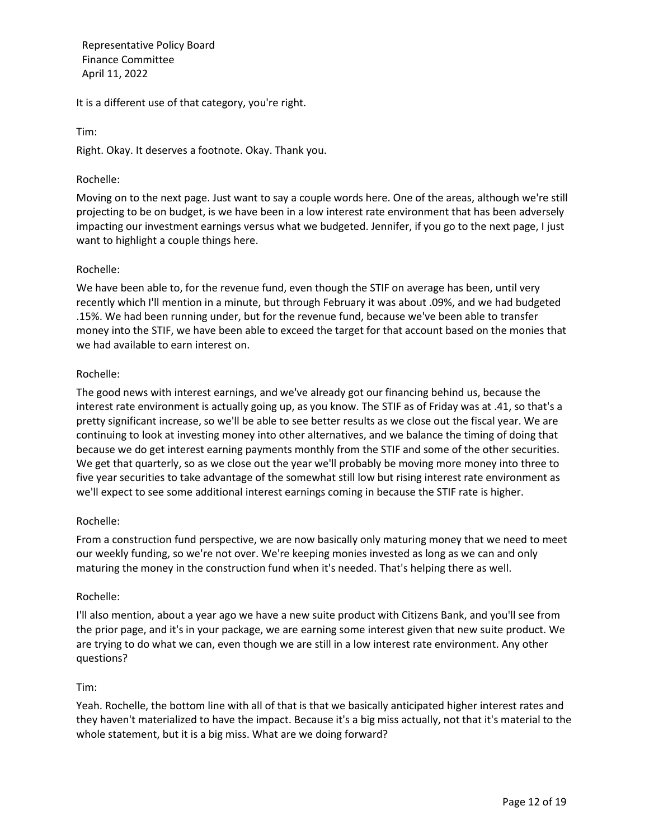It is a different use of that category, you're right.

Tim:

Right. Okay. It deserves a footnote. Okay. Thank you.

### Rochelle:

Moving on to the next page. Just want to say a couple words here. One of the areas, although we're still projecting to be on budget, is we have been in a low interest rate environment that has been adversely impacting our investment earnings versus what we budgeted. Jennifer, if you go to the next page, I just want to highlight a couple things here.

### Rochelle:

We have been able to, for the revenue fund, even though the STIF on average has been, until very recently which I'll mention in a minute, but through February it was about .09%, and we had budgeted .15%. We had been running under, but for the revenue fund, because we've been able to transfer money into the STIF, we have been able to exceed the target for that account based on the monies that we had available to earn interest on.

## Rochelle:

The good news with interest earnings, and we've already got our financing behind us, because the interest rate environment is actually going up, as you know. The STIF as of Friday was at .41, so that's a pretty significant increase, so we'll be able to see better results as we close out the fiscal year. We are continuing to look at investing money into other alternatives, and we balance the timing of doing that because we do get interest earning payments monthly from the STIF and some of the other securities. We get that quarterly, so as we close out the year we'll probably be moving more money into three to five year securities to take advantage of the somewhat still low but rising interest rate environment as we'll expect to see some additional interest earnings coming in because the STIF rate is higher.

## Rochelle:

From a construction fund perspective, we are now basically only maturing money that we need to meet our weekly funding, so we're not over. We're keeping monies invested as long as we can and only maturing the money in the construction fund when it's needed. That's helping there as well.

## Rochelle:

I'll also mention, about a year ago we have a new suite product with Citizens Bank, and you'll see from the prior page, and it's in your package, we are earning some interest given that new suite product. We are trying to do what we can, even though we are still in a low interest rate environment. Any other questions?

## Tim:

Yeah. Rochelle, the bottom line with all of that is that we basically anticipated higher interest rates and they haven't materialized to have the impact. Because it's a big miss actually, not that it's material to the whole statement, but it is a big miss. What are we doing forward?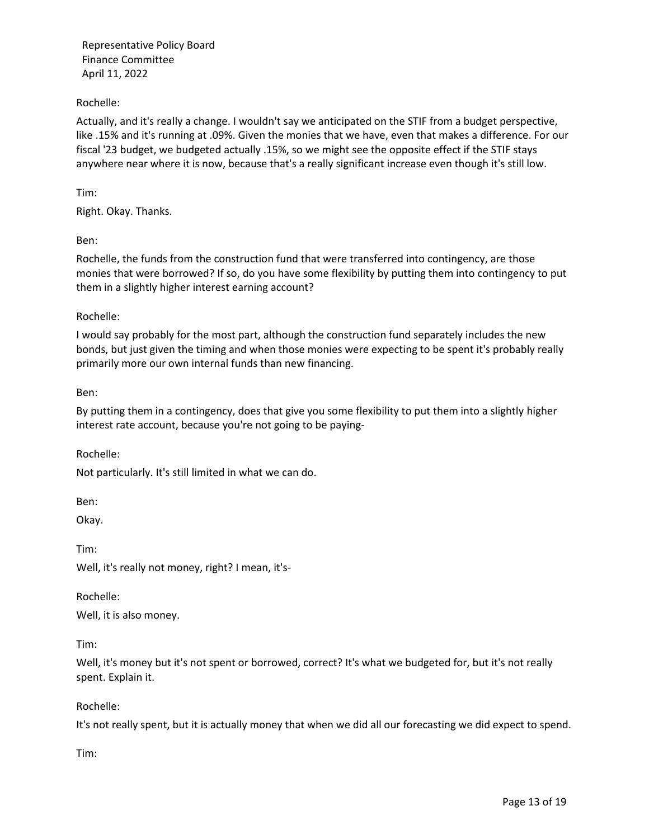# Rochelle:

Actually, and it's really a change. I wouldn't say we anticipated on the STIF from a budget perspective, like .15% and it's running at .09%. Given the monies that we have, even that makes a difference. For our fiscal '23 budget, we budgeted actually .15%, so we might see the opposite effect if the STIF stays anywhere near where it is now, because that's a really significant increase even though it's still low.

Tim:

Right. Okay. Thanks.

Ben:

Rochelle, the funds from the construction fund that were transferred into contingency, are those monies that were borrowed? If so, do you have some flexibility by putting them into contingency to put them in a slightly higher interest earning account?

### Rochelle:

I would say probably for the most part, although the construction fund separately includes the new bonds, but just given the timing and when those monies were expecting to be spent it's probably really primarily more our own internal funds than new financing.

Ben:

By putting them in a contingency, does that give you some flexibility to put them into a slightly higher interest rate account, because you're not going to be paying-

Rochelle:

Not particularly. It's still limited in what we can do.

Ben:

Okay.

Tim: Well, it's really not money, right? I mean, it's-

Rochelle: Well, it is also money.

Tim:

Well, it's money but it's not spent or borrowed, correct? It's what we budgeted for, but it's not really spent. Explain it.

Rochelle:

It's not really spent, but it is actually money that when we did all our forecasting we did expect to spend.

Tim: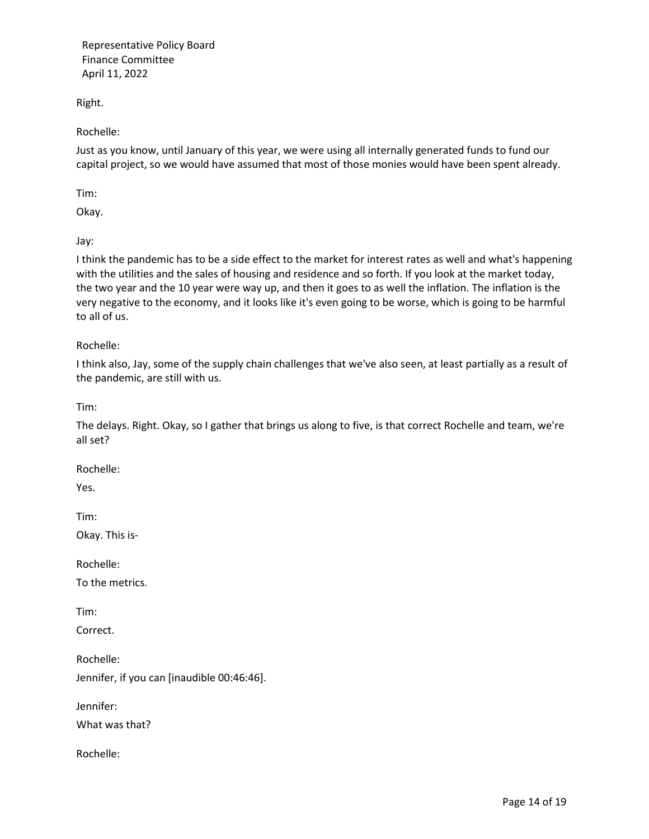Right.

Rochelle:

Just as you know, until January of this year, we were using all internally generated funds to fund our capital project, so we would have assumed that most of those monies would have been spent already.

Tim:

Okay.

Jay:

I think the pandemic has to be a side effect to the market for interest rates as well and what's happening with the utilities and the sales of housing and residence and so forth. If you look at the market today, the two year and the 10 year were way up, and then it goes to as well the inflation. The inflation is the very negative to the economy, and it looks like it's even going to be worse, which is going to be harmful to all of us.

## Rochelle:

I think also, Jay, some of the supply chain challenges that we've also seen, at least partially as a result of the pandemic, are still with us.

Tim:

The delays. Right. Okay, so I gather that brings us along to five, is that correct Rochelle and team, we're all set?

Rochelle:

Yes.

Tim:

Okay. This is-

Rochelle:

To the metrics.

Tim:

Correct.

Rochelle:

Jennifer, if you can [inaudible 00:46:46].

Jennifer:

What was that?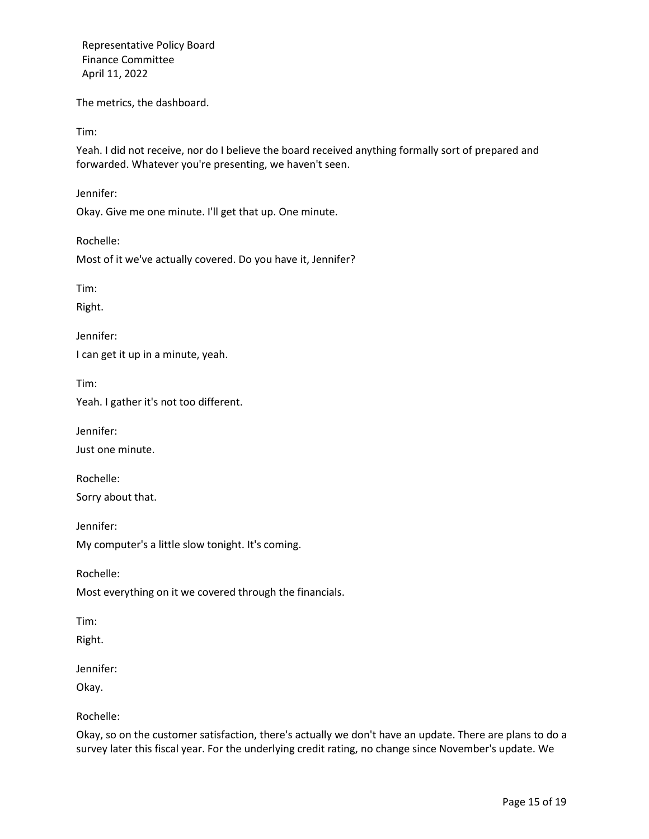The metrics, the dashboard.

Tim:

Yeah. I did not receive, nor do I believe the board received anything formally sort of prepared and forwarded. Whatever you're presenting, we haven't seen.

Jennifer:

Okay. Give me one minute. I'll get that up. One minute.

Rochelle:

Most of it we've actually covered. Do you have it, Jennifer?

Tim:

Right.

Jennifer:

I can get it up in a minute, yeah.

Tim:

Yeah. I gather it's not too different.

Jennifer:

Just one minute.

Rochelle: Sorry about that.

Jennifer: My computer's a little slow tonight. It's coming.

Rochelle:

Most everything on it we covered through the financials.

Tim:

Right.

Jennifer:

Okay.

Rochelle:

Okay, so on the customer satisfaction, there's actually we don't have an update. There are plans to do a survey later this fiscal year. For the underlying credit rating, no change since November's update. We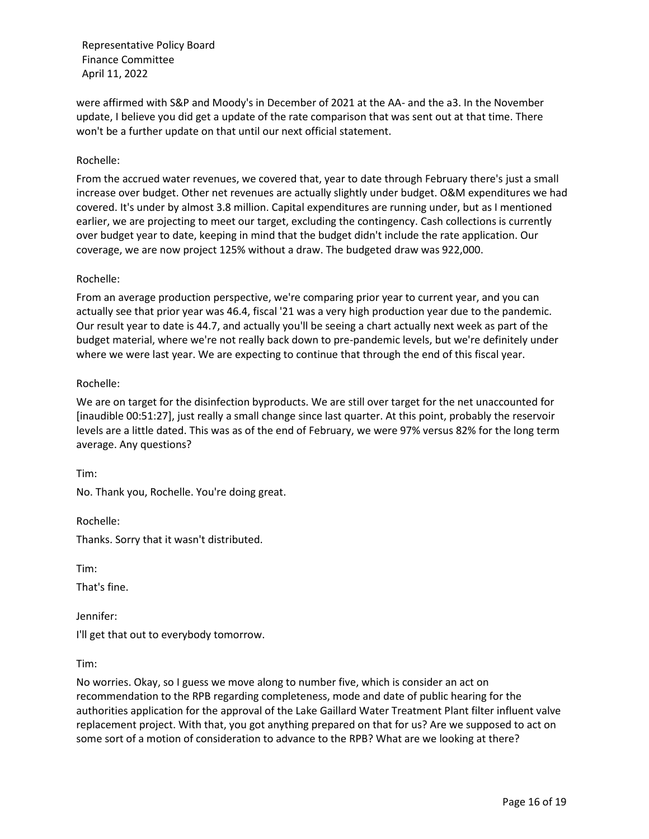were affirmed with S&P and Moody's in December of 2021 at the AA- and the a3. In the November update, I believe you did get a update of the rate comparison that was sent out at that time. There won't be a further update on that until our next official statement.

### Rochelle:

From the accrued water revenues, we covered that, year to date through February there's just a small increase over budget. Other net revenues are actually slightly under budget. O&M expenditures we had covered. It's under by almost 3.8 million. Capital expenditures are running under, but as I mentioned earlier, we are projecting to meet our target, excluding the contingency. Cash collections is currently over budget year to date, keeping in mind that the budget didn't include the rate application. Our coverage, we are now project 125% without a draw. The budgeted draw was 922,000.

#### Rochelle:

From an average production perspective, we're comparing prior year to current year, and you can actually see that prior year was 46.4, fiscal '21 was a very high production year due to the pandemic. Our result year to date is 44.7, and actually you'll be seeing a chart actually next week as part of the budget material, where we're not really back down to pre-pandemic levels, but we're definitely under where we were last year. We are expecting to continue that through the end of this fiscal year.

#### Rochelle:

We are on target for the disinfection byproducts. We are still over target for the net unaccounted for [inaudible 00:51:27], just really a small change since last quarter. At this point, probably the reservoir levels are a little dated. This was as of the end of February, we were 97% versus 82% for the long term average. Any questions?

Tim:

No. Thank you, Rochelle. You're doing great.

Rochelle:

Thanks. Sorry that it wasn't distributed.

Tim:

That's fine.

Jennifer:

I'll get that out to everybody tomorrow.

Tim:

No worries. Okay, so I guess we move along to number five, which is consider an act on recommendation to the RPB regarding completeness, mode and date of public hearing for the authorities application for the approval of the Lake Gaillard Water Treatment Plant filter influent valve replacement project. With that, you got anything prepared on that for us? Are we supposed to act on some sort of a motion of consideration to advance to the RPB? What are we looking at there?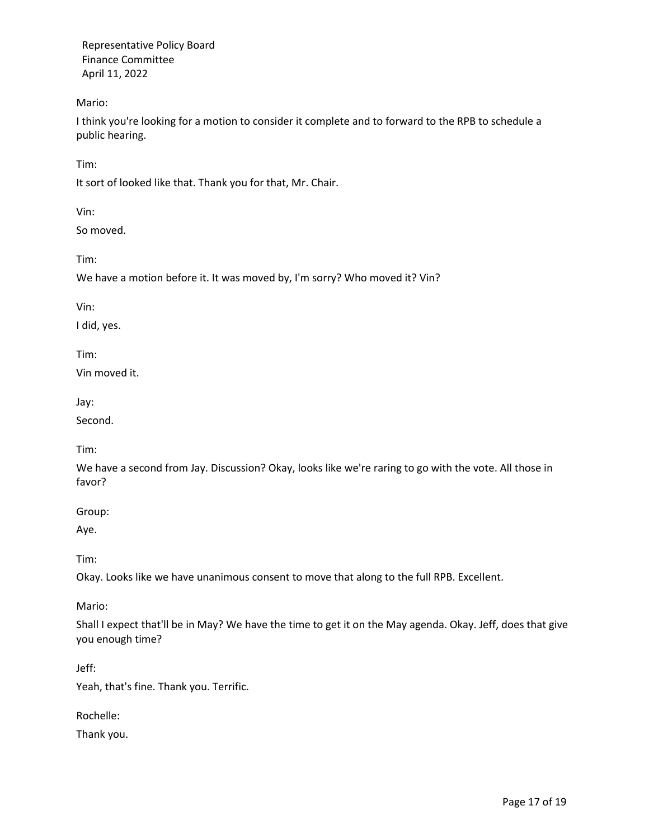Mario:

I think you're looking for a motion to consider it complete and to forward to the RPB to schedule a public hearing.

Tim:

It sort of looked like that. Thank you for that, Mr. Chair.

Vin:

So moved.

Tim:

We have a motion before it. It was moved by, I'm sorry? Who moved it? Vin?

Vin:

I did, yes.

Tim:

Vin moved it.

Jay:

Second.

Tim:

We have a second from Jay. Discussion? Okay, looks like we're raring to go with the vote. All those in favor?

Group:

Aye.

Tim:

Okay. Looks like we have unanimous consent to move that along to the full RPB. Excellent.

Mario:

Shall I expect that'll be in May? We have the time to get it on the May agenda. Okay. Jeff, does that give you enough time?

Jeff:

Yeah, that's fine. Thank you. Terrific.

Rochelle:

Thank you.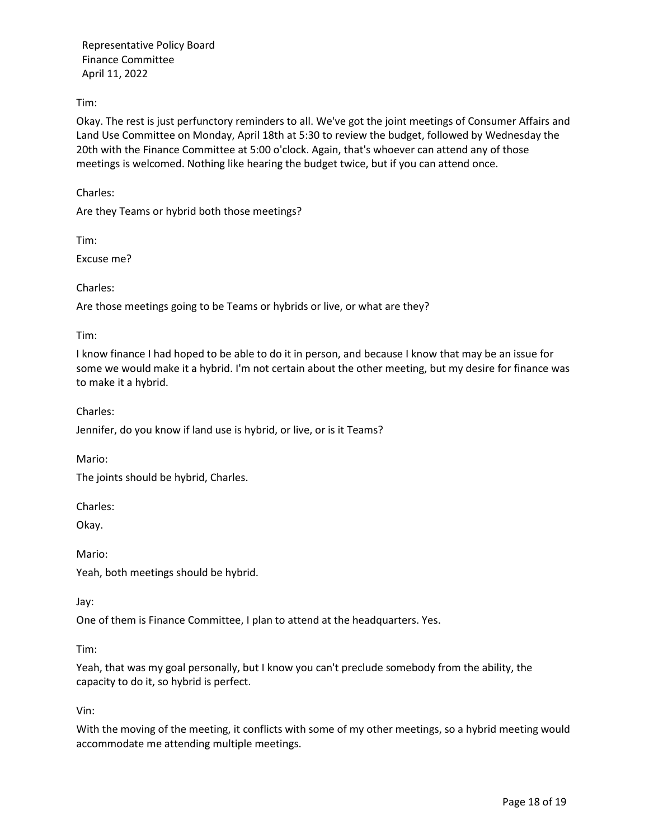Tim:

Okay. The rest is just perfunctory reminders to all. We've got the joint meetings of Consumer Affairs and Land Use Committee on Monday, April 18th at 5:30 to review the budget, followed by Wednesday the 20th with the Finance Committee at 5:00 o'clock. Again, that's whoever can attend any of those meetings is welcomed. Nothing like hearing the budget twice, but if you can attend once.

Charles:

Are they Teams or hybrid both those meetings?

Tim:

Excuse me?

Charles:

Are those meetings going to be Teams or hybrids or live, or what are they?

Tim:

I know finance I had hoped to be able to do it in person, and because I know that may be an issue for some we would make it a hybrid. I'm not certain about the other meeting, but my desire for finance was to make it a hybrid.

Charles:

Jennifer, do you know if land use is hybrid, or live, or is it Teams?

Mario:

The joints should be hybrid, Charles.

Charles:

Okay.

Mario:

Yeah, both meetings should be hybrid.

Jay:

One of them is Finance Committee, I plan to attend at the headquarters. Yes.

Tim:

Yeah, that was my goal personally, but I know you can't preclude somebody from the ability, the capacity to do it, so hybrid is perfect.

Vin:

With the moving of the meeting, it conflicts with some of my other meetings, so a hybrid meeting would accommodate me attending multiple meetings.